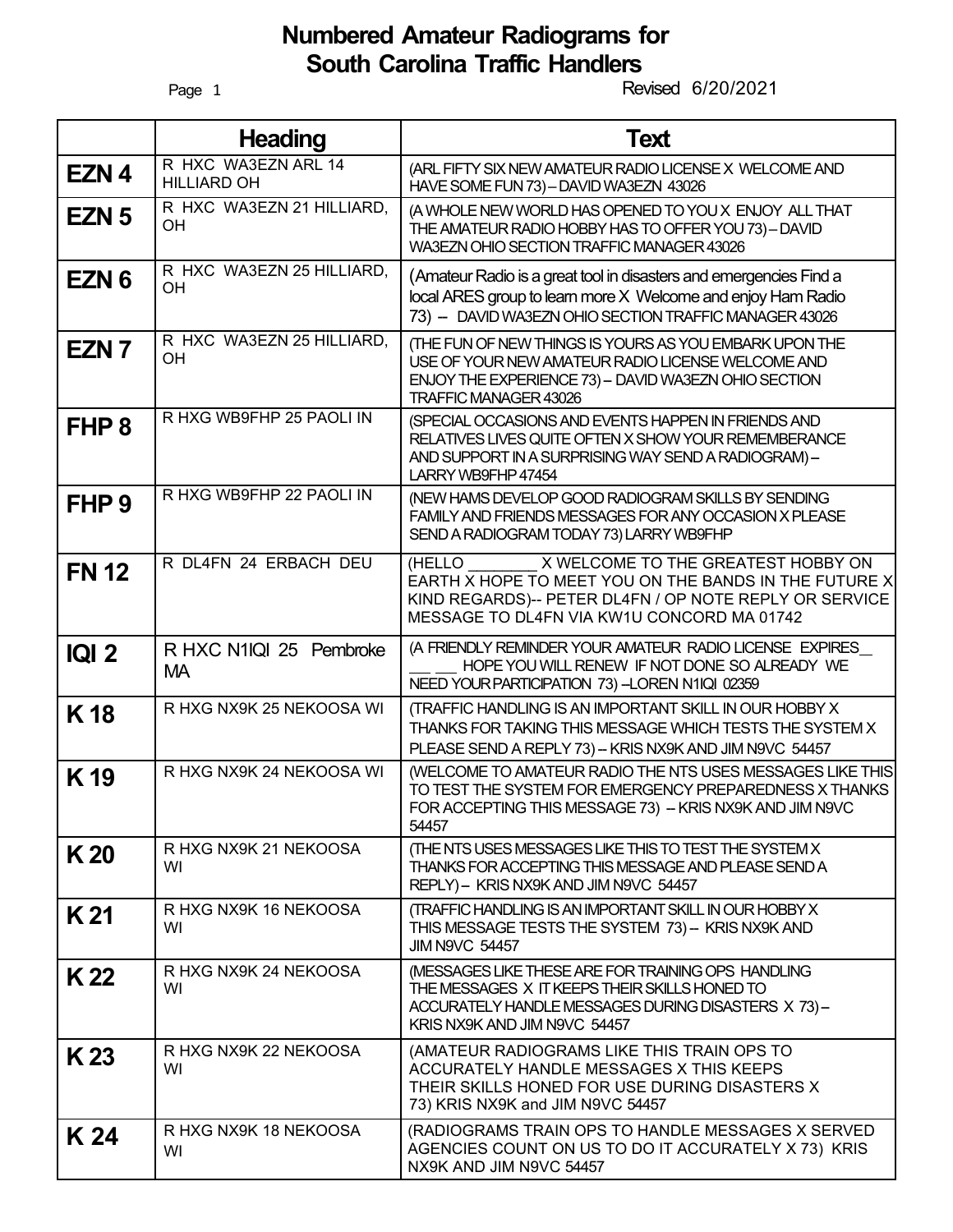## **Numbered Amateur Radiograms for South Carolina Traffic Handlers**

Page 1

Revised 6/20/2021

|                  | <b>Heading</b>                            | <b>Text</b>                                                                                                                                                                                                   |
|------------------|-------------------------------------------|---------------------------------------------------------------------------------------------------------------------------------------------------------------------------------------------------------------|
| EZN <sub>4</sub> | R HXC WA3EZN ARL 14<br><b>HILLIARD OH</b> | (ARL FIFTY SIX NEW AMATEUR RADIO LICENSE X WELCOME AND<br>HAVE SOME FUN 73) - DAVID WA3EZN 43026                                                                                                              |
| EZN <sub>5</sub> | R HXC WA3EZN 21 HILLIARD,<br>OH           | (A WHOLE NEW WORLD HAS OPENED TO YOU X ENJOY ALL THAT<br>THE AMATEUR RADIO HOBBY HAS TO OFFER YOU 73) - DAVID<br>WA3EZN OHIO SECTION TRAFFIC MANAGER 43026                                                    |
| EZN <sub>6</sub> | R HXC WA3EZN 25 HILLIARD,<br>OH           | (Amateur Radio is a great tool in disasters and emergencies Find a<br>local ARES group to learn more X Welcome and enjoy Ham Radio<br>73) - DAVID WA3EZN OHIO SECTION TRAFFIC MANAGER 43026                   |
| EZN <sub>7</sub> | R HXC WA3EZN 25 HILLIARD,<br>OH           | (THE FUN OF NEW THINGS IS YOURS AS YOU EMBARK UPON THE<br>USE OF YOUR NEW AMATEUR RADIO LICENSE WELCOME AND<br>ENJOY THE EXPERIENCE 73) - DAVID WA3EZN OHIO SECTION<br>TRAFFIC MANAGER 43026                  |
| FHP <sub>8</sub> | R HXG WB9FHP 25 PAOLI IN                  | (SPECIAL OCCASIONS AND EVENTS HAPPEN IN FRIENDS AND<br>RELATIVES LIVES QUITE OFTEN X SHOW YOUR REMEMBERANCE<br>AND SUPPORT IN A SURPRISING WAY SEND A RADIOGRAM)-<br>LARRY WB9FHP 47454                       |
| FHP <sub>9</sub> | R HXG WB9FHP 22 PAOLI IN                  | (NEW HAMS DEVELOP GOOD RADIOGRAM SKILLS BY SENDING<br>FAMILY AND FRIENDS MESSAGES FOR ANY OCCASION X PLEASE<br>SEND A RADIOGRAM TODAY 73) LARRY WB9FHP                                                        |
| <b>FN 12</b>     | R DL4FN 24 ERBACH DEU                     | X WELCOME TO THE GREATEST HOBBY ON<br>(HELLO<br>EARTH X HOPE TO MEET YOU ON THE BANDS IN THE FUTURE X<br>KIND REGARDS)-- PETER DL4FN / OP NOTE REPLY OR SERVICE<br>MESSAGE TO DL4FN VIA KW1U CONCORD MA 01742 |
| <b>IQI 2</b>     | R HXC N1IQI 25 Pembroke<br><b>MA</b>      | (A FRIENDLY REMINDER YOUR AMATEUR RADIO LICENSE EXPIRES<br>HOPE YOU WILL RENEW IF NOT DONE SO ALREADY WE<br>NEED YOUR PARTICIPATION 73)-LOREN N1IQI 02359                                                     |
| <b>K18</b>       | R HXG NX9K 25 NEKOOSA WI                  | (TRAFFIC HANDLING IS AN IMPORTANT SKILL IN OUR HOBBY X<br>THANKS FOR TAKING THIS MESSAGE WHICH TESTS THE SYSTEM X<br>PLEASE SEND A REPLY 73) - KRIS NX9K AND JIM N9VC 54457                                   |
| K <sub>19</sub>  | R HXG NX9K 24 NEKOOSA WI                  | (WELCOME TO AMATEUR RADIO THE NTS USES MESSAGES LIKE THIS<br>TO TEST THE SYSTEM FOR EMERGENCY PREPAREDNESS X THANKS<br>FOR ACCEPTING THIS MESSAGE 73) - KRIS NX9K AND JIM N9VC<br>54457                       |
| K <sub>20</sub>  | R HXG NX9K 21 NEKOOSA<br>WI               | (THE NTS USES MESSAGES LIKE THIS TO TEST THE SYSTEM X<br>THANKS FOR ACCEPTING THIS MESSAGE AND PLEASE SEND A<br>REPLY) - KRIS NX9K AND JIM N9VC 54457                                                         |
| K 21             | R HXG NX9K 16 NEKOOSA<br>WI               | (TRAFFIC HANDLING IS AN IMPORTANT SKILL IN OUR HOBBY X<br>THIS MESSAGE TESTS THE SYSTEM 73)- KRIS NX9K AND<br><b>JIM N9VC 54457</b>                                                                           |
| K 22             | R HXG NX9K 24 NEKOOSA<br>WI               | (MESSAGES LIKE THESE ARE FOR TRAINING OPS HANDLING<br>THE MESSAGES X IT KEEPS THEIR SKILLS HONED TO<br>ACCURATELY HANDLE MESSAGES DURING DISASTERS X 73)-<br>KRIS NX9K AND JIM N9VC 54457                     |
| K <sub>23</sub>  | R HXG NX9K 22 NEKOOSA<br>WI               | (AMATEUR RADIOGRAMS LIKE THIS TRAIN OPS TO<br>ACCURATELY HANDLE MESSAGES X THIS KEEPS<br>THEIR SKILLS HONED FOR USE DURING DISASTERS X<br>73) KRIS NX9K and JIM N9VC 54457                                    |
| K 24             | R HXG NX9K 18 NEKOOSA<br>WI               | (RADIOGRAMS TRAIN OPS TO HANDLE MESSAGES X SERVED<br>AGENCIES COUNT ON US TO DO IT ACCURATELY X 73) KRIS<br>NX9K AND JIM N9VC 54457                                                                           |